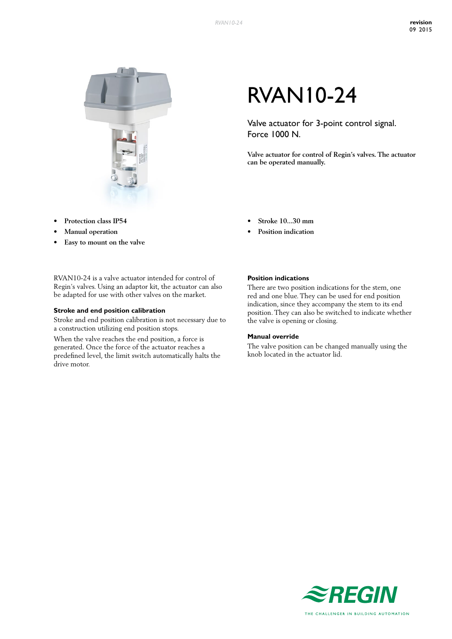

- **Protection** class IP54
- **Manual** operation
- **• Easy to mount on the valve**

RVAN10-24 is a valve actuator intended for control of Regin's valves. Using an adaptor kit, the actuator can also be adapted for use with other valves on the market.

## **Stroke and end position calibration**

Stroke and end position calibration is not necessary due to a construction utilizing end position stops.

When the valve reaches the end position, a force is generated. Once the force of the actuator reaches a predefined level, the limit switch automatically halts the drive motor.

# RVAN10-24

Valve actuator for 3-point control signal. Force 1000 N.

**Valve actuator for control of Regin's valves. The actuator can be operated manually.**

- **• Stroke 10...30 mm**
- **Position indication**

## **Position indications**

There are two position indications for the stem, one red and one blue. They can be used for end position indication, since they accompany the stem to its end position. They can also be switched to indicate whether the valve is opening or closing.

#### **Manual override**

The valve position can be changed manually using the knob located in the actuator lid.